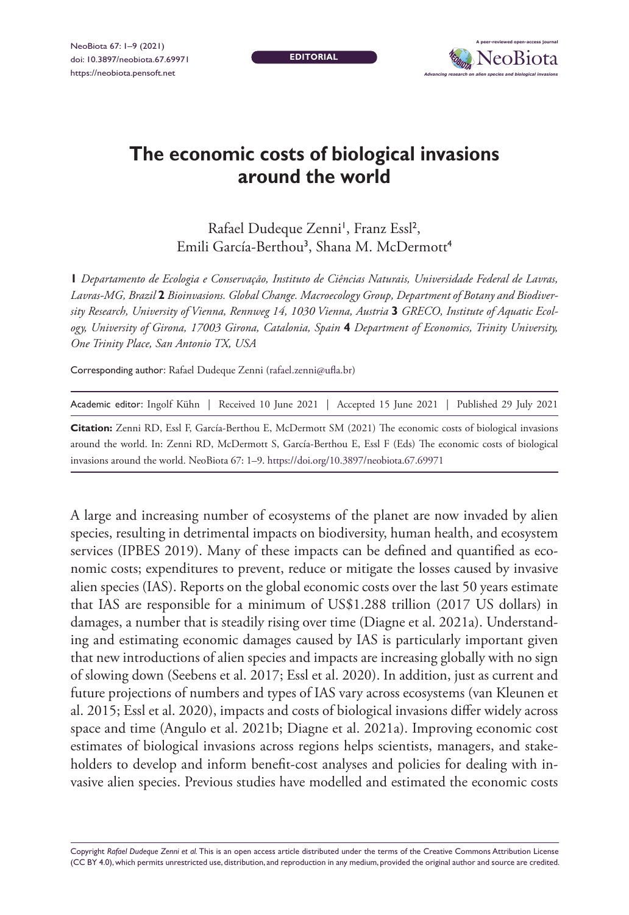NeoBiota 67: 1–9 (2021) doi: 10.3897/neobiota.67.69971 <https://neobiota.pensoft.net>

**EDITORIAL**



## **The economic costs of biological invasions around the world**

Rafael Dudeque Zenni<sup>1</sup>, Franz Essl<sup>2</sup>, Emili García-Berthou<sup>3</sup>, Shana M. McDermott<sup>4</sup>

**1** *Departamento de Ecologia e Conservação, Instituto de Ciências Naturais, Universidade Federal de Lavras, Lavras-MG, Brazil* **2** *Bioinvasions. Global Change. Macroecology Group, Department of Botany and Biodiversity Research, University of Vienna, Rennweg 14, 1030 Vienna, Austria* **3** *GRECO, Institute of Aquatic Ecology, University of Girona, 17003 Girona, Catalonia, Spain* **4** *Department of Economics, Trinity University, One Trinity Place, San Antonio TX, USA*

Corresponding author: Rafael Dudeque Zenni [\(rafael.zenni@ufla.br\)](mailto:rafael.zenni@ufla.br)

| Academic editor: Ingolf Kühn   Received 10 June 2021   Accepted 15 June 2021   Published 29 July 2021 |  |  |  |
|-------------------------------------------------------------------------------------------------------|--|--|--|
|-------------------------------------------------------------------------------------------------------|--|--|--|

**Citation:** Zenni RD, Essl F, García-Berthou E, McDermott SM (2021) The economic costs of biological invasions around the world. In: Zenni RD, McDermott S, García-Berthou E, Essl F (Eds) The economic costs of biological invasions around the world. NeoBiota 67: 1–9.<https://doi.org/10.3897/neobiota.67.69971>

A large and increasing number of ecosystems of the planet are now invaded by alien species, resulting in detrimental impacts on biodiversity, human health, and ecosystem services (IPBES 2019). Many of these impacts can be defined and quantified as economic costs; expenditures to prevent, reduce or mitigate the losses caused by invasive alien species (IAS). Reports on the global economic costs over the last 50 years estimate that IAS are responsible for a minimum of US\$1.288 trillion (2017 US dollars) in damages, a number that is steadily rising over time (Diagne et al. 2021a). Understanding and estimating economic damages caused by IAS is particularly important given that new introductions of alien species and impacts are increasing globally with no sign of slowing down (Seebens et al. 2017; Essl et al. 2020). In addition, just as current and future projections of numbers and types of IAS vary across ecosystems (van Kleunen et al. 2015; Essl et al. 2020), impacts and costs of biological invasions differ widely across space and time (Angulo et al. 2021b; Diagne et al. 2021a). Improving economic cost estimates of biological invasions across regions helps scientists, managers, and stakeholders to develop and inform benefit-cost analyses and policies for dealing with invasive alien species. Previous studies have modelled and estimated the economic costs

Copyright *Rafael Dudeque Zenni et al.* This is an open access article distributed under the terms of the [Creative Commons Attribution License](http://creativecommons.org/licenses/by/4.0/)  [\(CC BY 4.0\)](http://creativecommons.org/licenses/by/4.0/), which permits unrestricted use, distribution, and reproduction in any medium, provided the original author and source are credited.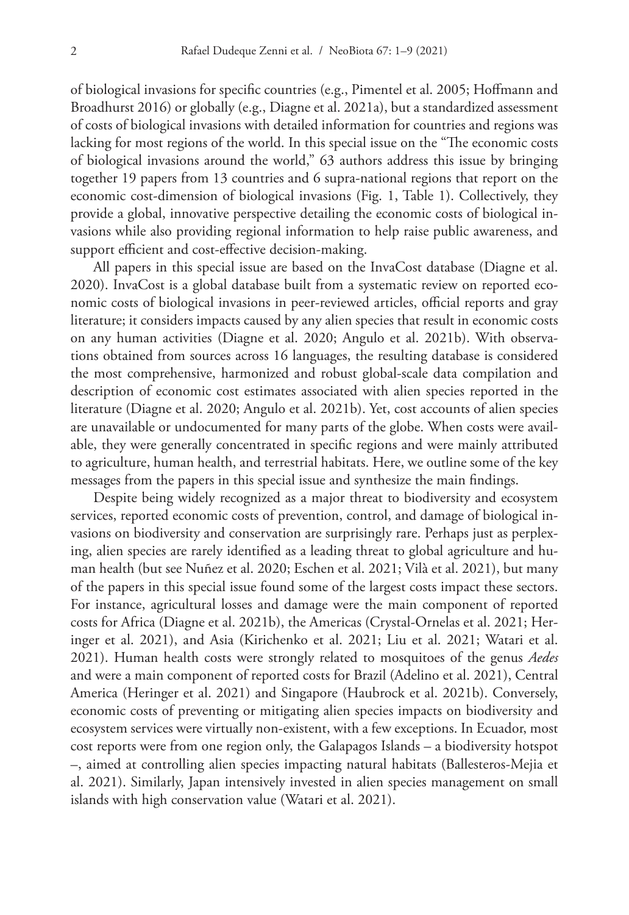of biological invasions for specific countries (e.g., Pimentel et al. 2005; Hoffmann and Broadhurst 2016) or globally (e.g., Diagne et al. 2021a), but a standardized assessment of costs of biological invasions with detailed information for countries and regions was lacking for most regions of the world. In this special issue on the "The economic costs of biological invasions around the world," 63 authors address this issue by bringing together 19 papers from 13 countries and 6 supra-national regions that report on the economic cost-dimension of biological invasions (Fig. 1, Table 1). Collectively, they provide a global, innovative perspective detailing the economic costs of biological invasions while also providing regional information to help raise public awareness, and support efficient and cost-effective decision-making.

All papers in this special issue are based on the InvaCost database (Diagne et al. 2020). InvaCost is a global database built from a systematic review on reported economic costs of biological invasions in peer-reviewed articles, official reports and gray literature; it considers impacts caused by any alien species that result in economic costs on any human activities (Diagne et al. 2020; Angulo et al. 2021b). With observations obtained from sources across 16 languages, the resulting database is considered the most comprehensive, harmonized and robust global-scale data compilation and description of economic cost estimates associated with alien species reported in the literature (Diagne et al. 2020; Angulo et al. 2021b). Yet, cost accounts of alien species are unavailable or undocumented for many parts of the globe. When costs were available, they were generally concentrated in specific regions and were mainly attributed to agriculture, human health, and terrestrial habitats. Here, we outline some of the key messages from the papers in this special issue and synthesize the main findings.

Despite being widely recognized as a major threat to biodiversity and ecosystem services, reported economic costs of prevention, control, and damage of biological invasions on biodiversity and conservation are surprisingly rare. Perhaps just as perplexing, alien species are rarely identified as a leading threat to global agriculture and human health (but see Nuñez et al. 2020; Eschen et al. 2021; Vilà et al. 2021), but many of the papers in this special issue found some of the largest costs impact these sectors. For instance, agricultural losses and damage were the main component of reported costs for Africa (Diagne et al. 2021b), the Americas (Crystal-Ornelas et al. 2021; Heringer et al. 2021), and Asia (Kirichenko et al. 2021; Liu et al. 2021; Watari et al. 2021). Human health costs were strongly related to mosquitoes of the genus *Aedes* and were a main component of reported costs for Brazil (Adelino et al. 2021), Central America (Heringer et al. 2021) and Singapore (Haubrock et al. 2021b). Conversely, economic costs of preventing or mitigating alien species impacts on biodiversity and ecosystem services were virtually non-existent, with a few exceptions. In Ecuador, most cost reports were from one region only, the Galapagos Islands – a biodiversity hotspot –, aimed at controlling alien species impacting natural habitats (Ballesteros-Mejia et al. 2021). Similarly, Japan intensively invested in alien species management on small islands with high conservation value (Watari et al. 2021).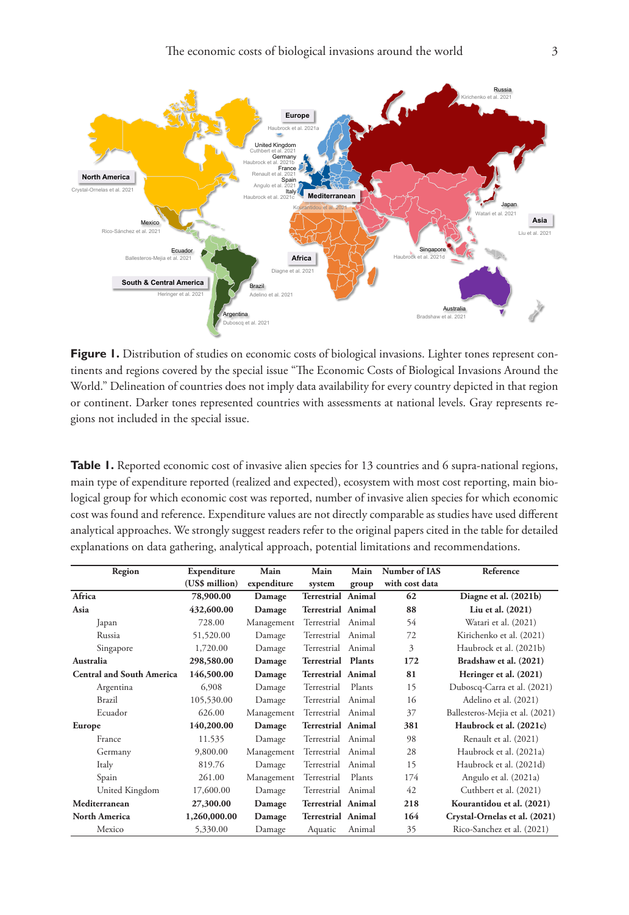

Figure 1. Distribution of studies on economic costs of biological invasions. Lighter tones represent continents and regions covered by the special issue "The Economic Costs of Biological Invasions Around the World." Delineation of countries does not imply data availability for every country depicted in that region or continent. Darker tones represented countries with assessments at national levels. Gray represents regions not included in the special issue.

Table 1. Reported economic cost of invasive alien species for 13 countries and 6 supra-national regions, main type of expenditure reported (realized and expected), ecosystem with most cost reporting, main biological group for which economic cost was reported, number of invasive alien species for which economic cost was found and reference. Expenditure values are not directly comparable as studies have used different analytical approaches. We strongly suggest readers refer to the original papers cited in the table for detailed explanations on data gathering, analytical approach, potential limitations and recommendations.

| Region                           | Expenditure    | Main        | Main                      | Main          | Number of IAS  | Reference                       |
|----------------------------------|----------------|-------------|---------------------------|---------------|----------------|---------------------------------|
|                                  | (US\$ million) | expenditure | system                    | group         | with cost data |                                 |
| Africa                           | 78,900.00      | Damage      | <b>Terrestrial Animal</b> |               | 62             | Diagne et al. (2021b)           |
| Asia                             | 432,600.00     | Damage      | Terrestrial Animal        |               | 88             | Liu et al. (2021)               |
| Japan                            | 728.00         | Management  | Terrestrial               | Animal        | 54             | Watari et al. (2021)            |
| Russia                           | 51,520.00      | Damage      | Terrestrial Animal        |               | 72             | Kirichenko et al. (2021)        |
| Singapore                        | 1,720.00       | Damage      | Terrestrial               | Animal        | 3              | Haubrock et al. (2021b)         |
| Australia                        | 298,580.00     | Damage      | Terrestrial               | <b>Plants</b> | 172            | Bradshaw et al. (2021)          |
| <b>Central and South America</b> | 146,500.00     | Damage      | <b>Terrestrial Animal</b> |               | 81             | Heringer et al. (2021)          |
| Argentina                        | 6,908          | Damage      | Terrestrial               | Plants        | 15             | Duboscq-Carra et al. (2021)     |
| Brazil                           | 105,530.00     | Damage      | Terrestrial               | Animal        | 16             | Adelino et al. (2021)           |
| Ecuador                          | 626.00         | Management  | Terrestrial Animal        |               | 37             | Ballesteros-Mejia et al. (2021) |
| Europe                           | 140,200.00     | Damage      | <b>Terrestrial Animal</b> |               | 381            | Haubrock et al. (2021c)         |
| France                           | 11.535         | Damage      | Terrestrial               | Animal        | 98             | Renault et al. (2021)           |
| Germany                          | 9,800.00       | Management  | Terrestrial               | Animal        | 28             | Haubrock et al. (2021a)         |
| Italy                            | 819.76         | Damage      | Terrestrial               | Animal        | 15             | Haubrock et al. (2021d)         |
| Spain                            | 261.00         | Management  | Terrestrial               | Plants        | 174            | Angulo et al. (2021a)           |
| United Kingdom                   | 17,600.00      | Damage      | Terrestrial               | Animal        | 42             | Cuthbert et al. (2021)          |
| Mediterranean                    | 27,300.00      | Damage      | <b>Terrestrial Animal</b> |               | 218            | Kourantidou et al. (2021)       |
| <b>North America</b>             | 1,260,000.00   | Damage      | <b>Terrestrial Animal</b> |               | 164            | Crystal-Ornelas et al. (2021)   |
| Mexico                           | 5,330.00       | Damage      | Aquatic                   | Animal        | 35             | Rico-Sanchez et al. (2021)      |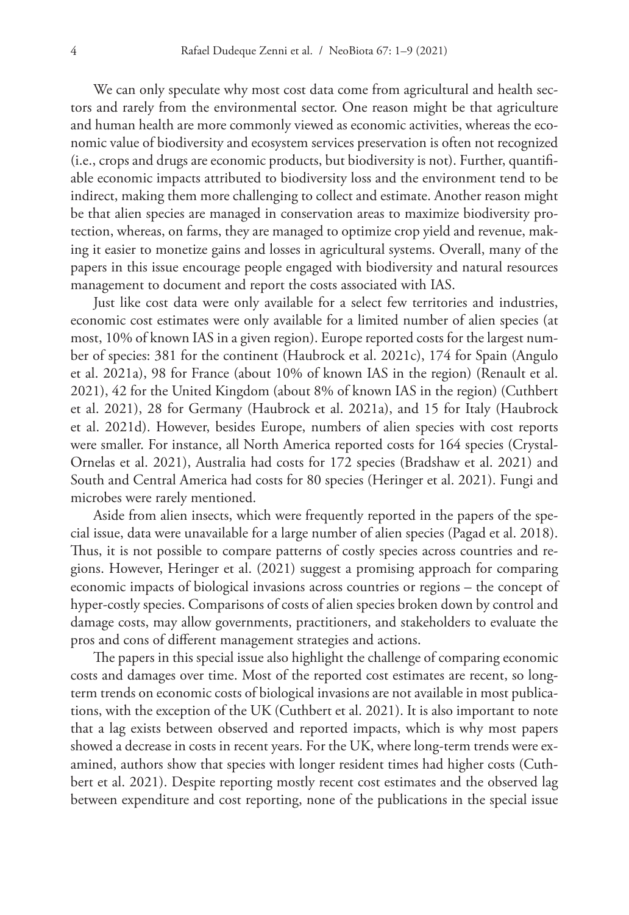We can only speculate why most cost data come from agricultural and health sectors and rarely from the environmental sector. One reason might be that agriculture and human health are more commonly viewed as economic activities, whereas the economic value of biodiversity and ecosystem services preservation is often not recognized (i.e., crops and drugs are economic products, but biodiversity is not). Further, quantifiable economic impacts attributed to biodiversity loss and the environment tend to be indirect, making them more challenging to collect and estimate. Another reason might be that alien species are managed in conservation areas to maximize biodiversity protection, whereas, on farms, they are managed to optimize crop yield and revenue, making it easier to monetize gains and losses in agricultural systems. Overall, many of the papers in this issue encourage people engaged with biodiversity and natural resources management to document and report the costs associated with IAS.

Just like cost data were only available for a select few territories and industries, economic cost estimates were only available for a limited number of alien species (at most, 10% of known IAS in a given region). Europe reported costs for the largest number of species: 381 for the continent (Haubrock et al. 2021c), 174 for Spain (Angulo et al. 2021a), 98 for France (about 10% of known IAS in the region) (Renault et al. 2021), 42 for the United Kingdom (about 8% of known IAS in the region) (Cuthbert et al. 2021), 28 for Germany (Haubrock et al. 2021a), and 15 for Italy (Haubrock et al. 2021d). However, besides Europe, numbers of alien species with cost reports were smaller. For instance, all North America reported costs for 164 species (Crystal-Ornelas et al. 2021), Australia had costs for 172 species (Bradshaw et al. 2021) and South and Central America had costs for 80 species (Heringer et al. 2021). Fungi and microbes were rarely mentioned.

Aside from alien insects, which were frequently reported in the papers of the special issue, data were unavailable for a large number of alien species (Pagad et al. 2018). Thus, it is not possible to compare patterns of costly species across countries and regions. However, Heringer et al. (2021) suggest a promising approach for comparing economic impacts of biological invasions across countries or regions – the concept of hyper-costly species. Comparisons of costs of alien species broken down by control and damage costs, may allow governments, practitioners, and stakeholders to evaluate the pros and cons of different management strategies and actions.

The papers in this special issue also highlight the challenge of comparing economic costs and damages over time. Most of the reported cost estimates are recent, so longterm trends on economic costs of biological invasions are not available in most publications, with the exception of the UK (Cuthbert et al. 2021). It is also important to note that a lag exists between observed and reported impacts, which is why most papers showed a decrease in costs in recent years. For the UK, where long-term trends were examined, authors show that species with longer resident times had higher costs (Cuthbert et al. 2021). Despite reporting mostly recent cost estimates and the observed lag between expenditure and cost reporting, none of the publications in the special issue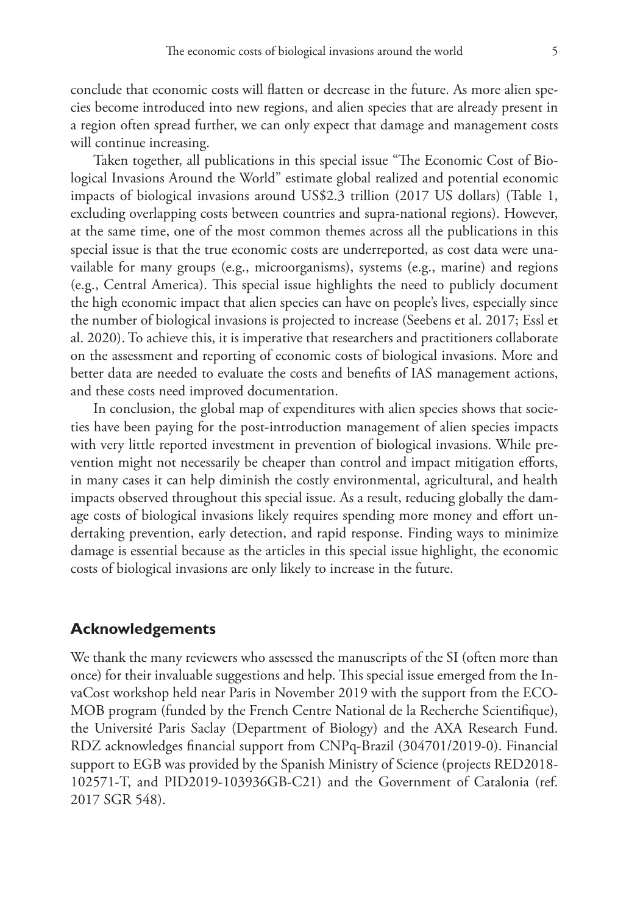conclude that economic costs will flatten or decrease in the future. As more alien species become introduced into new regions, and alien species that are already present in a region often spread further, we can only expect that damage and management costs will continue increasing.

Taken together, all publications in this special issue "The Economic Cost of Biological Invasions Around the World" estimate global realized and potential economic impacts of biological invasions around US\$2.3 trillion (2017 US dollars) (Table 1, excluding overlapping costs between countries and supra-national regions). However, at the same time, one of the most common themes across all the publications in this special issue is that the true economic costs are underreported, as cost data were unavailable for many groups (e.g., microorganisms), systems (e.g., marine) and regions (e.g., Central America). This special issue highlights the need to publicly document the high economic impact that alien species can have on people's lives, especially since the number of biological invasions is projected to increase (Seebens et al. 2017; Essl et al. 2020). To achieve this, it is imperative that researchers and practitioners collaborate on the assessment and reporting of economic costs of biological invasions. More and better data are needed to evaluate the costs and benefits of IAS management actions, and these costs need improved documentation.

In conclusion, the global map of expenditures with alien species shows that societies have been paying for the post-introduction management of alien species impacts with very little reported investment in prevention of biological invasions. While prevention might not necessarily be cheaper than control and impact mitigation efforts, in many cases it can help diminish the costly environmental, agricultural, and health impacts observed throughout this special issue. As a result, reducing globally the damage costs of biological invasions likely requires spending more money and effort undertaking prevention, early detection, and rapid response. Finding ways to minimize damage is essential because as the articles in this special issue highlight, the economic costs of biological invasions are only likely to increase in the future.

## **Acknowledgements**

We thank the many reviewers who assessed the manuscripts of the SI (often more than once) for their invaluable suggestions and help. This special issue emerged from the InvaCost workshop held near Paris in November 2019 with the support from the ECO-MOB program (funded by the French Centre National de la Recherche Scientifique), the Université Paris Saclay (Department of Biology) and the AXA Research Fund. RDZ acknowledges financial support from CNPq-Brazil (304701/2019-0). Financial support to EGB was provided by the Spanish Ministry of Science (projects RED2018-102571‐T, and PID2019-103936GB-C21) and the Government of Catalonia (ref. 2017 SGR 548).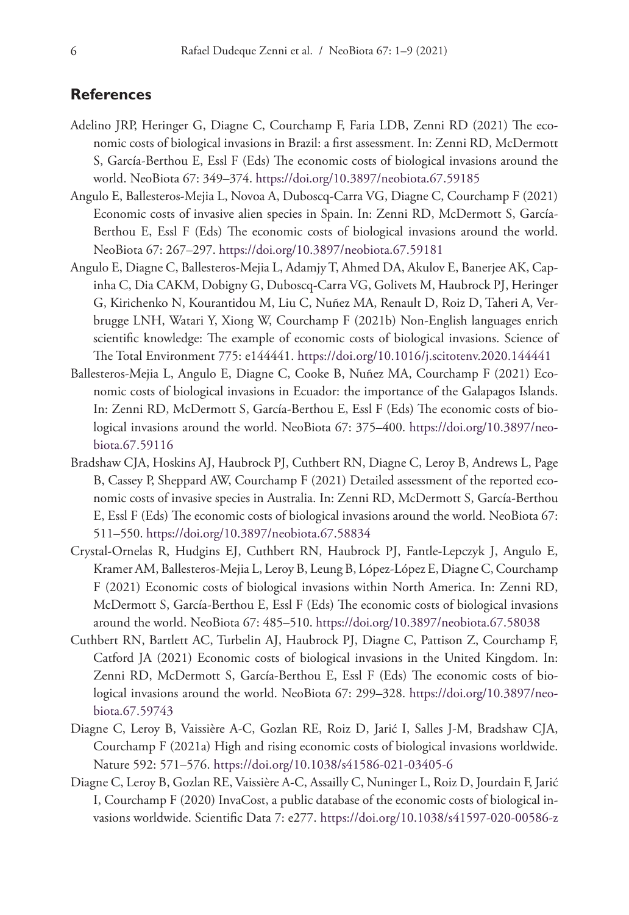## **References**

- Adelino JRP, Heringer G, Diagne C, Courchamp F, Faria LDB, Zenni RD (2021) The economic costs of biological invasions in Brazil: a first assessment. In: Zenni RD, McDermott S, García-Berthou E, Essl F (Eds) The economic costs of biological invasions around the world. NeoBiota 67: 349–374.<https://doi.org/10.3897/neobiota.67.59185>
- Angulo E, Ballesteros-Mejia L, Novoa A, Duboscq-Carra VG, Diagne C, Courchamp F (2021) Economic costs of invasive alien species in Spain. In: Zenni RD, McDermott S, García-Berthou E, Essl F (Eds) The economic costs of biological invasions around the world. NeoBiota 67: 267–297. <https://doi.org/10.3897/neobiota.67.59181>
- Angulo E, Diagne C, Ballesteros-Mejia L, Adamjy T, Ahmed DA, Akulov E, Banerjee AK, Capinha C, Dia CAKM, Dobigny G, Duboscq-Carra VG, Golivets M, Haubrock PJ, Heringer G, Kirichenko N, Kourantidou M, Liu C, Nuñez MA, Renault D, Roiz D, Taheri A, Verbrugge LNH, Watari Y, Xiong W, Courchamp F (2021b) Non-English languages enrich scientific knowledge: The example of economic costs of biological invasions. Science of The Total Environment 775: e144441.<https://doi.org/10.1016/j.scitotenv.2020.144441>
- Ballesteros-Mejia L, Angulo E, Diagne C, Cooke B, Nuñez MA, Courchamp F (2021) Economic costs of biological invasions in Ecuador: the importance of the Galapagos Islands. In: Zenni RD, McDermott S, García-Berthou E, Essl F (Eds) The economic costs of biological invasions around the world. NeoBiota 67: 375–400. [https://doi.org/10.3897/neo](https://doi.org/10.3897/neobiota.67.59116)[biota.67.59116](https://doi.org/10.3897/neobiota.67.59116)
- Bradshaw CJA, Hoskins AJ, Haubrock PJ, Cuthbert RN, Diagne C, Leroy B, Andrews L, Page B, Cassey P, Sheppard AW, Courchamp F (2021) Detailed assessment of the reported economic costs of invasive species in Australia. In: Zenni RD, McDermott S, García-Berthou E, Essl F (Eds) The economic costs of biological invasions around the world. NeoBiota 67: 511–550. <https://doi.org/10.3897/neobiota.67.58834>
- Crystal-Ornelas R, Hudgins EJ, Cuthbert RN, Haubrock PJ, Fantle-Lepczyk J, Angulo E, Kramer AM, Ballesteros-Mejia L, Leroy B, Leung B, López-López E, Diagne C, Courchamp F (2021) Economic costs of biological invasions within North America. In: Zenni RD, McDermott S, García-Berthou E, Essl F (Eds) The economic costs of biological invasions around the world. NeoBiota 67: 485–510.<https://doi.org/10.3897/neobiota.67.58038>
- Cuthbert RN, Bartlett AC, Turbelin AJ, Haubrock PJ, Diagne C, Pattison Z, Courchamp F, Catford JA (2021) Economic costs of biological invasions in the United Kingdom. In: Zenni RD, McDermott S, García-Berthou E, Essl F (Eds) The economic costs of biological invasions around the world. NeoBiota 67: 299–328. [https://doi.org/10.3897/neo](https://doi.org/10.3897/neobiota.67.59743)[biota.67.59743](https://doi.org/10.3897/neobiota.67.59743)
- Diagne C, Leroy B, Vaissière A-C, Gozlan RE, Roiz D, Jarić I, Salles J-M, Bradshaw CJA, Courchamp F (2021a) High and rising economic costs of biological invasions worldwide. Nature 592: 571–576. <https://doi.org/10.1038/s41586-021-03405-6>
- Diagne C, Leroy B, Gozlan RE, Vaissière A-C, Assailly C, Nuninger L, Roiz D, Jourdain F, Jarić I, Courchamp F (2020) InvaCost, a public database of the economic costs of biological invasions worldwide. Scientific Data 7: e277.<https://doi.org/10.1038/s41597-020-00586-z>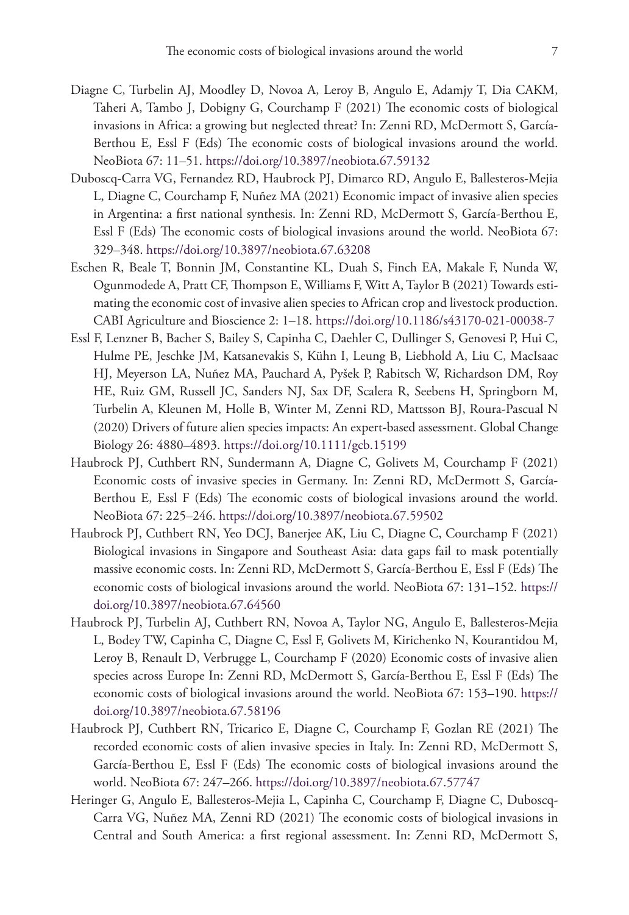- Diagne C, Turbelin AJ, Moodley D, Novoa A, Leroy B, Angulo E, Adamjy T, Dia CAKM, Taheri A, Tambo J, Dobigny G, Courchamp F (2021) The economic costs of biological invasions in Africa: a growing but neglected threat? In: Zenni RD, McDermott S, García-Berthou E, Essl F (Eds) The economic costs of biological invasions around the world. NeoBiota 67: 11–51.<https://doi.org/10.3897/neobiota.67.59132>
- Duboscq-Carra VG, Fernandez RD, Haubrock PJ, Dimarco RD, Angulo E, Ballesteros-Mejia L, Diagne C, Courchamp F, Nuñez MA (2021) Economic impact of invasive alien species in Argentina: a first national synthesis. In: Zenni RD, McDermott S, García-Berthou E, Essl F (Eds) The economic costs of biological invasions around the world. NeoBiota 67: 329–348. <https://doi.org/10.3897/neobiota.67.63208>
- Eschen R, Beale T, Bonnin JM, Constantine KL, Duah S, Finch EA, Makale F, Nunda W, Ogunmodede A, Pratt CF, Thompson E, Williams F, Witt A, Taylor B (2021) Towards estimating the economic cost of invasive alien species to African crop and livestock production. CABI Agriculture and Bioscience 2: 1–18. <https://doi.org/10.1186/s43170-021-00038-7>
- Essl F, Lenzner B, Bacher S, Bailey S, Capinha C, Daehler C, Dullinger S, Genovesi P, Hui C, Hulme PE, Jeschke JM, Katsanevakis S, Kühn I, Leung B, Liebhold A, Liu C, MacIsaac HJ, Meyerson LA, Nuñez MA, Pauchard A, Pyšek P, Rabitsch W, Richardson DM, Roy HE, Ruiz GM, Russell JC, Sanders NJ, Sax DF, Scalera R, Seebens H, Springborn M, Turbelin A, Kleunen M, Holle B, Winter M, Zenni RD, Mattsson BJ, Roura‐Pascual N (2020) Drivers of future alien species impacts: An expert‐based assessment. Global Change Biology 26: 4880–4893.<https://doi.org/10.1111/gcb.15199>
- Haubrock PJ, Cuthbert RN, Sundermann A, Diagne C, Golivets M, Courchamp F (2021) Economic costs of invasive species in Germany. In: Zenni RD, McDermott S, García-Berthou E, Essl F (Eds) The economic costs of biological invasions around the world. NeoBiota 67: 225–246. <https://doi.org/10.3897/neobiota.67.59502>
- Haubrock PJ, Cuthbert RN, Yeo DCJ, Banerjee AK, Liu C, Diagne C, Courchamp F (2021) Biological invasions in Singapore and Southeast Asia: data gaps fail to mask potentially massive economic costs. In: Zenni RD, McDermott S, García-Berthou E, Essl F (Eds) The economic costs of biological invasions around the world. NeoBiota 67: 131–152. [https://](https://doi.org/10.3897/neobiota.67.64560) [doi.org/10.3897/neobiota.67.64560](https://doi.org/10.3897/neobiota.67.64560)
- Haubrock PJ, Turbelin AJ, Cuthbert RN, Novoa A, Taylor NG, Angulo E, Ballesteros-Mejia L, Bodey TW, Capinha C, Diagne C, Essl F, Golivets M, Kirichenko N, Kourantidou M, Leroy B, Renault D, Verbrugge L, Courchamp F (2020) Economic costs of invasive alien species across Europe In: Zenni RD, McDermott S, García-Berthou E, Essl F (Eds) The economic costs of biological invasions around the world. NeoBiota 67: 153–190. [https://](https://doi.org/10.3897/neobiota.67.58196) [doi.org/10.3897/neobiota.67.58196](https://doi.org/10.3897/neobiota.67.58196)
- Haubrock PJ, Cuthbert RN, Tricarico E, Diagne C, Courchamp F, Gozlan RE (2021) The recorded economic costs of alien invasive species in Italy. In: Zenni RD, McDermott S, García-Berthou E, Essl F (Eds) The economic costs of biological invasions around the world. NeoBiota 67: 247–266.<https://doi.org/10.3897/neobiota.67.57747>
- Heringer G, Angulo E, Ballesteros-Mejia L, Capinha C, Courchamp F, Diagne C, Duboscq-Carra VG, Nuñez MA, Zenni RD (2021) The economic costs of biological invasions in Central and South America: a first regional assessment. In: Zenni RD, McDermott S,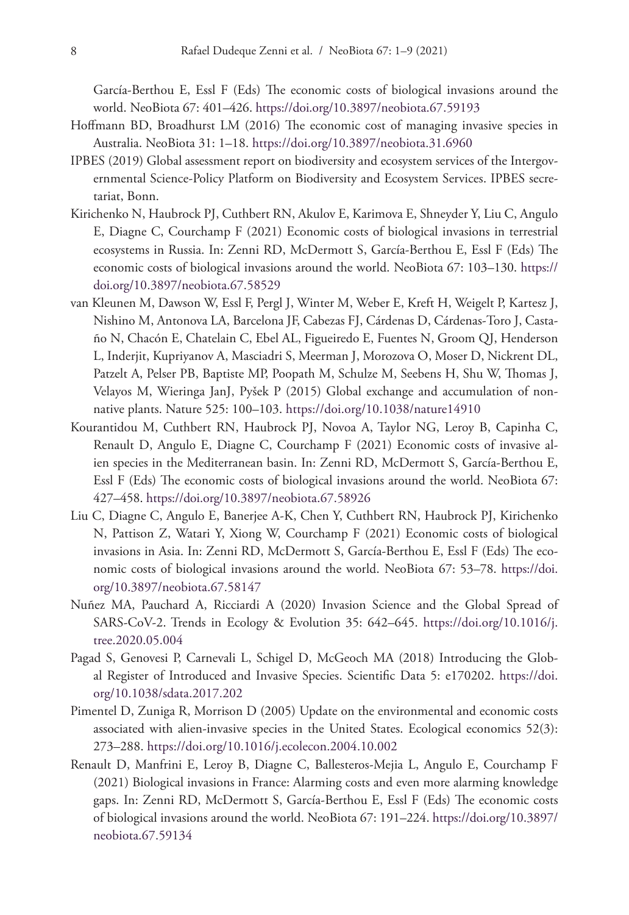García-Berthou E, Essl F (Eds) The economic costs of biological invasions around the world. NeoBiota 67: 401–426.<https://doi.org/10.3897/neobiota.67.59193>

- Hoffmann BD, Broadhurst LM (2016) The economic cost of managing invasive species in Australia. NeoBiota 31: 1–18. <https://doi.org/10.3897/neobiota.31.6960>
- IPBES (2019) Global assessment report on biodiversity and ecosystem services of the Intergovernmental Science-Policy Platform on Biodiversity and Ecosystem Services. IPBES secretariat, Bonn.
- Kirichenko N, Haubrock PJ, Cuthbert RN, Akulov E, Karimova E, Shneyder Y, Liu C, Angulo E, Diagne C, Courchamp F (2021) Economic costs of biological invasions in terrestrial ecosystems in Russia. In: Zenni RD, McDermott S, García-Berthou E, Essl F (Eds) The economic costs of biological invasions around the world. NeoBiota 67: 103–130. [https://](https://doi.org/10.3897/neobiota.67.58529) [doi.org/10.3897/neobiota.67.58529](https://doi.org/10.3897/neobiota.67.58529)
- van Kleunen M, Dawson W, Essl F, Pergl J, Winter M, Weber E, Kreft H, Weigelt P, Kartesz J, Nishino M, Antonova LA, Barcelona JF, Cabezas FJ, Cárdenas D, Cárdenas-Toro J, Castaño N, Chacón E, Chatelain C, Ebel AL, Figueiredo E, Fuentes N, Groom QJ, Henderson L, Inderjit, Kupriyanov A, Masciadri S, Meerman J, Morozova O, Moser D, Nickrent DL, Patzelt A, Pelser PB, Baptiste MP, Poopath M, Schulze M, Seebens H, Shu W, Thomas J, Velayos M, Wieringa JanJ, Pyšek P (2015) Global exchange and accumulation of nonnative plants. Nature 525: 100–103. <https://doi.org/10.1038/nature14910>
- Kourantidou M, Cuthbert RN, Haubrock PJ, Novoa A, Taylor NG, Leroy B, Capinha C, Renault D, Angulo E, Diagne C, Courchamp F (2021) Economic costs of invasive alien species in the Mediterranean basin. In: Zenni RD, McDermott S, García-Berthou E, Essl F (Eds) The economic costs of biological invasions around the world. NeoBiota 67: 427–458. <https://doi.org/10.3897/neobiota.67.58926>
- Liu C, Diagne C, Angulo E, Banerjee A-K, Chen Y, Cuthbert RN, Haubrock PJ, Kirichenko N, Pattison Z, Watari Y, Xiong W, Courchamp F (2021) Economic costs of biological invasions in Asia. In: Zenni RD, McDermott S, García-Berthou E, Essl F (Eds) The economic costs of biological invasions around the world. NeoBiota 67: 53–78. [https://doi.](https://doi.org/10.3897/neobiota.67.58147) [org/10.3897/neobiota.67.58147](https://doi.org/10.3897/neobiota.67.58147)
- Nuñez MA, Pauchard A, Ricciardi A (2020) Invasion Science and the Global Spread of SARS-CoV-2. Trends in Ecology & Evolution 35: 642–645. [https://doi.org/10.1016/j.](https://doi.org/10.1016/j.tree.2020.05.004) [tree.2020.05.004](https://doi.org/10.1016/j.tree.2020.05.004)
- Pagad S, Genovesi P, Carnevali L, Schigel D, McGeoch MA (2018) Introducing the Global Register of Introduced and Invasive Species. Scientific Data 5: e170202. [https://doi.](https://doi.org/10.1038/sdata.2017.202) [org/10.1038/sdata.2017.202](https://doi.org/10.1038/sdata.2017.202)
- Pimentel D, Zuniga R, Morrison D (2005) Update on the environmental and economic costs associated with alien-invasive species in the United States. Ecological economics 52(3): 273–288.<https://doi.org/10.1016/j.ecolecon.2004.10.002>
- Renault D, Manfrini E, Leroy B, Diagne C, Ballesteros-Mejia L, Angulo E, Courchamp F (2021) Biological invasions in France: Alarming costs and even more alarming knowledge gaps. In: Zenni RD, McDermott S, García-Berthou E, Essl F (Eds) The economic costs of biological invasions around the world. NeoBiota 67: 191–224. [https://doi.org/10.3897/](https://doi.org/10.3897/neobiota.67.59134) [neobiota.67.59134](https://doi.org/10.3897/neobiota.67.59134)